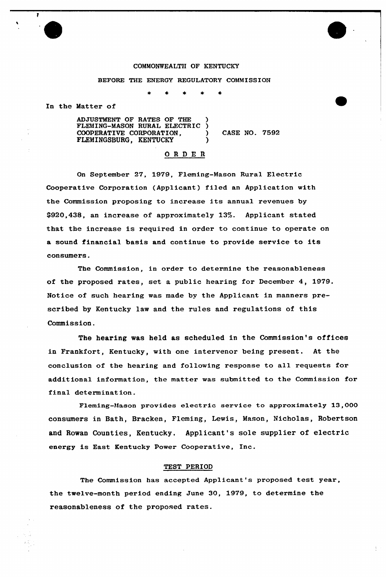## COMMONWEALTH OF KENTUCKY

## BEFORE THE ENERGY REGULATORY COMMISSION

In the Matter of

 $\mathbf{r}$ 

ADJUSTMENT OF RATES OF THE ) FLEMING-MASON RURAL ELECTRIC ) COOPERATIVE CORPORATION,  $\overrightarrow{C}$  CASE NO. 7592 FLEMINGSBURG, KENTUCKY )

# ORDER

On September 27, 1979, Fleming-Mason Rural Electric Cooperative Corporation (Applicant) filed an Application with the Commission proposing to increase its annual revenues by 9920,438, an increase of approximately 13%. Applicant stated that the increase is required in order to continue to operate on a sound financial basis and continue to provide service to its consumers.

The Commission, in order to determine the reasonableness of the proposed rates, set a public hearing for December 4, 1979. Notice of such hearing was made by the Applicant in manners prescribed by Kentucky law and the rules and regulations of this Commission.

The hearing was held as scheduled in the Commission's offices in Frankfort, Kentucky, with one intervenor being present. At the conclusion of the hearing and following response to all requests for additional information, the matter was submitted to the Commission for final determination.

Fleming-Mason provides electric service to approximately 13,000 consumers in Bath, Bracken, Fleming, Lewis, Mason, Nicholas, Robertson and Rowan Counties, Kentucky. Applicant's sole supplier of electric energy is East Kentucky Power Cooperative, Inc.

## TEST PERIOD

The Commission has accepted Applicant's proposed test year, the twelve-month period ending June 30, 1979, to determine the reasonableness of the proposed rates.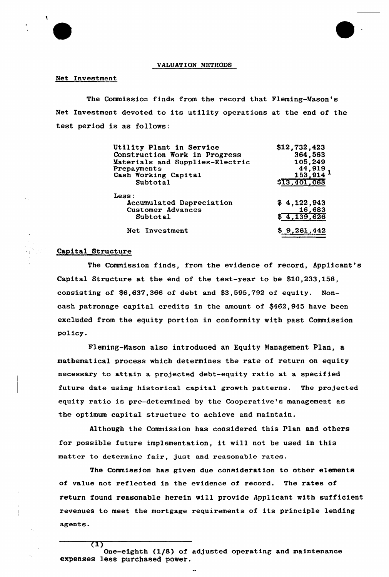

### VALUATION METHODS

## Net Investment

The Commission finds from the record that Fleming-Mason's Net Investment devoted to its utility operations at the end of the test period is as follows:

| Utility Plant in Service<br>Construction Work in Progress<br>Materials and Supplies-Electric | \$12,732,423<br>364,563<br>105,249 |
|----------------------------------------------------------------------------------------------|------------------------------------|
| Prepayments                                                                                  |                                    |
| Cash Working Capital                                                                         | $\frac{44,919}{153,914}$ 1         |
| Subtotal                                                                                     | \$13,401,068                       |
| Less :                                                                                       |                                    |
| Accumulated Depreciation                                                                     | \$4,122,943                        |
| <b>Customer Advances</b>                                                                     | 16,683                             |
| Subtotal                                                                                     | \$4,139,626                        |
| Net Investment                                                                               | \$9,261,442                        |

# Capital Structure

(1)

The Commission finds, from the evidence of record, Applicant's Capital Structure at the end of the test-year to be \$10,233,158, consisting of \$6,637,366 of debt and \$3,595,792 of equity. Noncash patronage capital credits in the amount of \$462,945 have been excluded from the equity portion in conformity with past Commission policy.

Fleming-Mason also introduced an Equity Management Plan, a mathematical process which determines the rate of return on equity necessary to attain a projected debt-equity ratio at a specified future date using historical capital growth patterns. The projected equity ratio is pre-determined by the Cooperative's management as the optimum capital structure to achieve and maintain.

Although the Commission has considered this Plan and others for possible future implementation, it will not be used in this matter to determine fair, just and reasonable rates.

The Commission has given due consideration to other elements of value not reflected in the evidence of record. The rates of return found reasonable herein will provide Applicant with sufficient revenues to meet the mortgage requirements of its principle lending agents.

One-eighth (1/8) of adjusted operating and maintenance expenses less purchased power.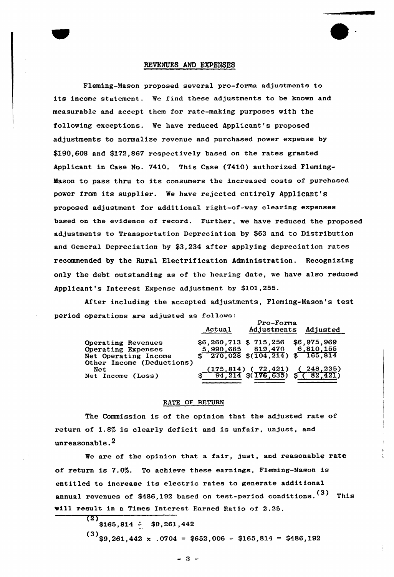## REVENUES AND EXPENSES

Fleming-Mason proposed several pro-forma adjustmente to its income statement. We find these adjustments to be known and measurable and accept them for rate-making purposes with the following exceptions, We have reduced Applicant's proposed adjustments to normalize revenue and purchased power expense by \$190,608 and \$172,867 respectively based on the rates granted Applicant in Case No. 7410. This Case (7410) authorized Fleming-Mason to pass thru to its consumers the increased costs of purchased power from its supplier. We have rejected entirely Applicant's proposed adjustment for additional right-of-way clearing expenses based on the evidence of record. Further, we have reduced the proposed adjustments to Transportation Depreciation by \$63 and to Distribution and General Depreciation by \$3,234 after applying depreciation rates recommended by the Rural Electrification Administration. Recognizing only the debt outstanding as of the hearing date, we have also reduced Applicant's Interest Expense adjustment by \$101,255.

After including the accepted adjustments, Fleming-Mason's test period operations are adjusted as follows:

|                                                                  | Actual                  | Adjusted                                                                 |                             |
|------------------------------------------------------------------|-------------------------|--------------------------------------------------------------------------|-----------------------------|
| Operating Revenues<br>Operating Expenses<br>Net Operating Income | $$6,260,713$ \$ 715,256 | 5,990,685 819,470<br>$\frac{270.028}{104.214}$ $\frac{165.814}{165.814}$ | \$6,975,969<br>6,810,155    |
| Other Income (Deductions)<br>Net<br>Net Income (Loss)            |                         | $\frac{(175, 814)}{94, 214}$ (176, 635)                                  | 248,235)<br>$\sqrt{87,421}$ |

## RATE OF RETURN

The Commission is of the opinion that the adjusted rate of return of 1.8% is clearly deficit and is unfair, unjust, and unreasonable.2

We are of the opinion that a fair, just, and reasonable rate of return is 7.05. To achieve these eaxnings, Fleming-Mason is entitled to increase its electric rates to generate additional annual revenues of \$486,192 based on test-period conditions.<sup>(3)</sup> This will result in a Times Interest Famed Ratio of 2.25.

> (2)  $$165,814 \div $9,261,442$

 $(3)$ \$9,261,442 x .0704 = \$652,006 - \$165,814 = \$486,192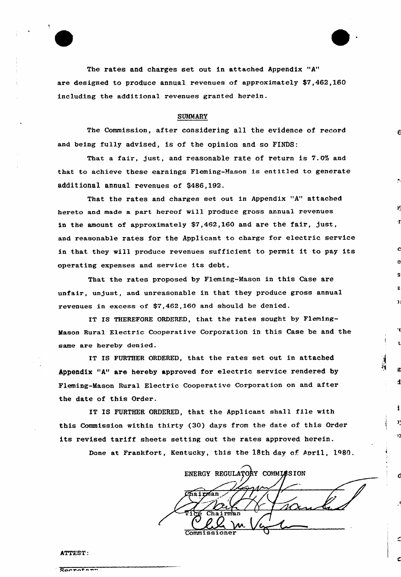

#### SUMMARY

The Commission, after considering all the evidence of record and being fully advised, is of the opinion and so FINDS:

That a fair, just, and reasonable rate of return is 7.0% and that to achieve these earnings Fleming-Mason is entitled to generate additional annual revenues of \$486,192.

That the rates and charges set out in Appendix "A" attached hereto and made a part hereof will produce gross annual revenues in the amount of approximately \$7,462,160 and are the fair, just, and reasonable rates for the Applicant to charge for electric service in that they will produce revenues sufficient to permit it to pay its operating expenses and service its debt,

That the rates proposed by Fleming-Mason in this Case are unfair, unjust, and unreasonable in that they produce gross annual revenues in excess of \$7,462,160 and should be denied.

IT IS THEREFORE ORDERED, that the rates sought by Fleming-Mason Rural Electric Cooperative Corporation in this Case be and the same are hereby denied.

IT IS FURTHER ORDERED, that the rates set out in attached Appendix "A" are hereby approved for electric service rendered by Fleming-Mason Rural Electric Cooperative Corporation on and after the date of this Order.

IT IS FURTHEK ORDERED, that the Applicant shall file with this Commission within thirty (30) days from the date of this Order its revised tariff sheets setting out the rates approved herein.

Done at Frankfort, Kentucky, this the 18th day of April, 1980.

ENERGY REGULATORY COMMISSION irman Commissione

đ

#### ATTEST:

|  |  |  | _____________ |  |  |
|--|--|--|---------------|--|--|
|  |  |  | Raepatepr     |  |  |
|  |  |  |               |  |  |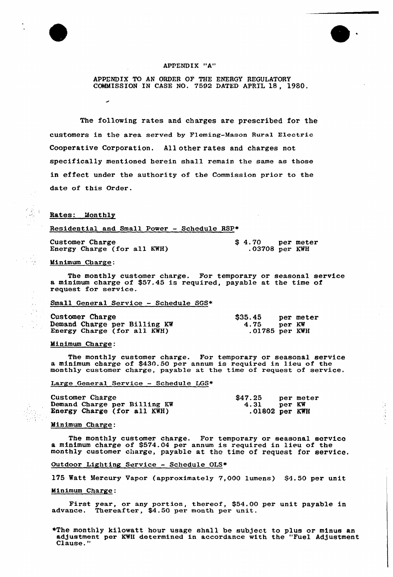

### APPENDIX "A"

APPENDIX TO AN ORDER OF THE ENERGY REGULATORY COMMISSION IN CASE NO. 7592 DATED APRIL 18, 1980.

The following rates and charges are prescribed for the customers in the area served by Fleming-Masan Rural Electric Cooperative Corporation. All other rates and charges not specifically mentioned herein shall remain the same as those in effect under the authority of the Commission prior to the date of this Order.

### Rates: Monthly

Residential and Small Power — Schedule RSP+

Customer Charge Energy Charge (for all KWH) \$ 4.70 per meter .03708 per KWH

 $\frac{1}{2}$ 

Minimum Charge:

 $\frac{1}{2}$  ,  $\frac{1}{2}$ 

 $\bar{\psi}$  . 

The monthly customer charge. For temporary or seasonal service a minimum charge of \$57.45 is required, payable at the time of request for service.

Small General Service — Schedule SGS+

| Customer Charge              | \$35.45        |        | per meter |
|------------------------------|----------------|--------|-----------|
| Demand Charge per Billing KW | 4.75           | per KW |           |
| Energy Charge (for all KWH)  | .01785 per KWH |        |           |

#### Minimum Charge:

The monthly customer charge. For temporary or seasonal service a minimum charge of \$430.50 per annum is required in lieu of the monthly customer charge, payable at the time of request of service.

Large General Service — Schedule LGS+

| Customer Charge              | \$47.25            | per meter |
|------------------------------|--------------------|-----------|
| Demand Charge per Billing KW | $4.31$ per KW      |           |
| Energy Charge (for all KWH)  | $.01802$ per $KWH$ |           |

#### Minimum Charge:

The monthly customer charge. For temporary or seasonal service a minimum charge of \$574.04 per annum is required in lieu of the monthly customer charge, payable at the time of request for service.

Outdoor Lighting Service - Schedule OLS\*

175 Watt Mercury Vapor (approximately 7,000 lumens) \$4.50 per unit

#### Minimum Charge:

First year, or any portion, thereof, \$54.00 per unit payable in advance. Thereafter, \$4.50 per month per unit.

+The monthly kilowatt hour usage shall be subJect to plus or minus an adJustment per KWH determined in accordance with the "Fuel AdJustment Clause."